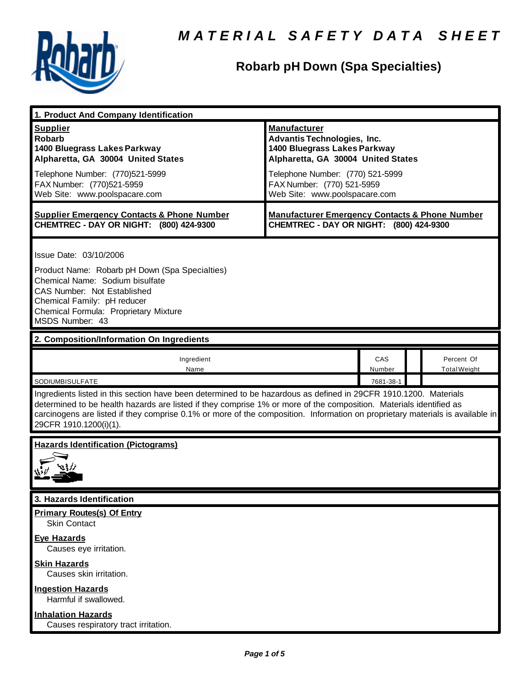

## **Robarb pH Down (Spa Specialties)**

| 1. Product And Company Identification                                                                                                                                                                                                                                                                                                                                                             |                                                                                                                                                                                                                                    |                            |                                   |
|---------------------------------------------------------------------------------------------------------------------------------------------------------------------------------------------------------------------------------------------------------------------------------------------------------------------------------------------------------------------------------------------------|------------------------------------------------------------------------------------------------------------------------------------------------------------------------------------------------------------------------------------|----------------------------|-----------------------------------|
| <b>Supplier</b><br><b>Robarb</b><br>1400 Bluegrass Lakes Parkway<br>Alpharetta, GA 30004 United States<br>Telephone Number: (770)521-5999<br>FAX Number: (770)521-5959<br>Web Site: www.poolspacare.com                                                                                                                                                                                           | <b>Manufacturer</b><br><b>Advantis Technologies, Inc.</b><br>1400 Bluegrass Lakes Parkway<br>Alpharetta, GA 30004 United States<br>Telephone Number: (770) 521-5999<br>FAX Number: (770) 521-5959<br>Web Site: www.poolspacare.com |                            |                                   |
| <b>Supplier Emergency Contacts &amp; Phone Number</b><br>CHEMTREC - DAY OR NIGHT: (800) 424-9300                                                                                                                                                                                                                                                                                                  | <b>Manufacturer Emergency Contacts &amp; Phone Number</b><br>CHEMTREC - DAY OR NIGHT: (800) 424-9300                                                                                                                               |                            |                                   |
| Issue Date: 03/10/2006<br>Product Name: Robarb pH Down (Spa Specialties)<br>Chemical Name: Sodium bisulfate<br>CAS Number: Not Established<br>Chemical Family: pH reducer<br>Chemical Formula: Proprietary Mixture<br>MSDS Number: 43                                                                                                                                                             |                                                                                                                                                                                                                                    |                            |                                   |
| 2. Composition/Information On Ingredients                                                                                                                                                                                                                                                                                                                                                         |                                                                                                                                                                                                                                    |                            |                                   |
| Ingredient<br>Name<br>SODIUMBISULFATE                                                                                                                                                                                                                                                                                                                                                             |                                                                                                                                                                                                                                    | CAS<br>Number<br>7681-38-1 | Percent Of<br><b>Total Weight</b> |
| Ingredients listed in this section have been determined to be hazardous as defined in 29CFR 1910.1200. Materials<br>determined to be health hazards are listed if they comprise 1% or more of the composition. Materials identified as<br>carcinogens are listed if they comprise 0.1% or more of the composition. Information on proprietary materials is available in<br>29CFR 1910.1200(i)(1). |                                                                                                                                                                                                                                    |                            |                                   |
| <b>Hazards Identification (Pictograms)</b>                                                                                                                                                                                                                                                                                                                                                        |                                                                                                                                                                                                                                    |                            |                                   |
| 3. Hazards Identification                                                                                                                                                                                                                                                                                                                                                                         |                                                                                                                                                                                                                                    |                            |                                   |
| <b>Primary Routes(s) Of Entry</b><br><b>Skin Contact</b><br><b>Eye Hazards</b><br>Causes eye irritation.                                                                                                                                                                                                                                                                                          |                                                                                                                                                                                                                                    |                            |                                   |
| <b>Skin Hazards</b><br>Causes skin irritation.<br><b>Ingestion Hazards</b>                                                                                                                                                                                                                                                                                                                        |                                                                                                                                                                                                                                    |                            |                                   |
| Harmful if swallowed.                                                                                                                                                                                                                                                                                                                                                                             |                                                                                                                                                                                                                                    |                            |                                   |
| <b>Inhalation Hazards</b><br>Causes respiratory tract irritation.                                                                                                                                                                                                                                                                                                                                 |                                                                                                                                                                                                                                    |                            |                                   |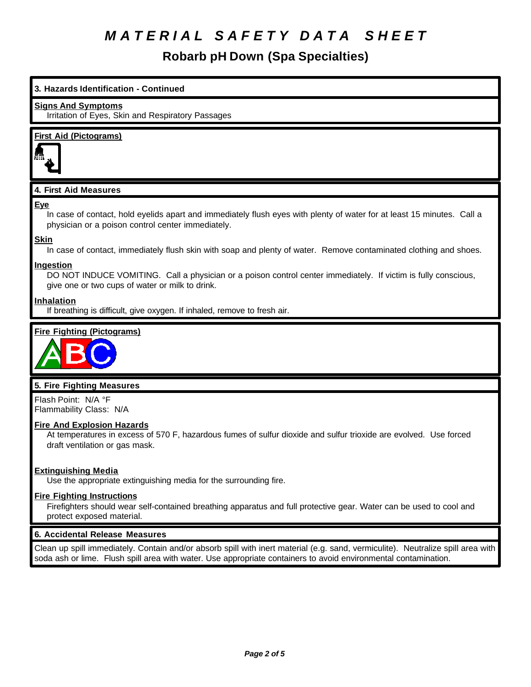**Robarb pH Down (Spa Specialties)**

# **3. Hazards Identification - Continued Signs And Symptoms** Irritation of Eyes, Skin and Respiratory Passages **First Aid (Pictograms) 4. First Aid Measures Eye** In case of contact, hold eyelids apart and immediately flush eyes with plenty of water for at least 15 minutes. Call a physician or a poison control center immediately. **Skin** In case of contact, immediately flush skin with soap and plenty of water. Remove contaminated clothing and shoes. **Ingestion** DO NOT INDUCE VOMITING. Call a physician or a poison control center immediately. If victim is fully conscious, give one or two cups of water or milk to drink. **Inhalation** If breathing is difficult, give oxygen. If inhaled, remove to fresh air. **Fire Fighting (Pictograms)**



## **5. Fire Fighting Measures**

Flash Point: N/A °F Flammability Class: N/A

## **Fire And Explosion Hazards**

At temperatures in excess of 570 F, hazardous fumes of sulfur dioxide and sulfur trioxide are evolved. Use forced draft ventilation or gas mask.

## **Extinguishing Media**

Use the appropriate extinguishing media for the surrounding fire.

### **Fire Fighting Instructions**

Firefighters should wear self-contained breathing apparatus and full protective gear. Water can be used to cool and protect exposed material.

### **6. Accidental Release Measures**

Clean up spill immediately. Contain and/or absorb spill with inert material (e.g. sand, vermiculite). Neutralize spill area with soda ash or lime. Flush spill area with water. Use appropriate containers to avoid environmental contamination.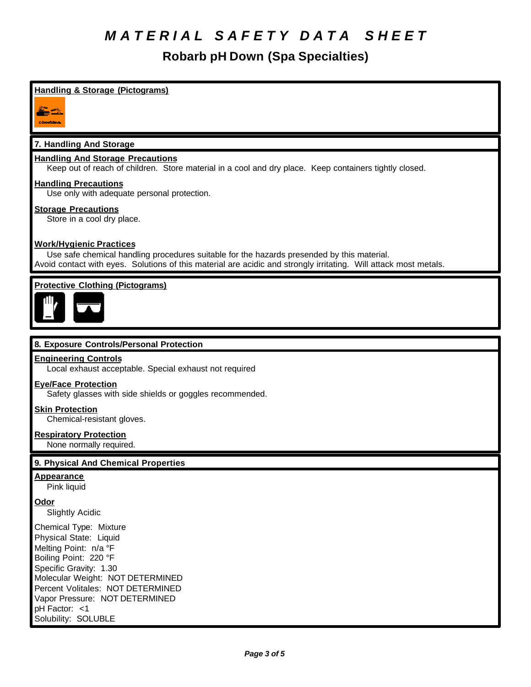**Robarb pH Down (Spa Specialties)**

## **Handling & Storage (Pictograms)**



## **7. Handling And Storage**

#### **Handling And Storage Precautions**

Keep out of reach of children. Store material in a cool and dry place. Keep containers tightly closed.

#### **Handling Precautions**

Use only with adequate personal protection.

#### **Storage Precautions**

Store in a cool dry place.

### **Work/Hygienic Practices**

Use safe chemical handling procedures suitable for the hazards presended by this material. Avoid contact with eyes. Solutions of this material are acidic and strongly irritating. Will attack most metals.

## **Protective Clothing (Pictograms)**



### **8. Exposure Controls/Personal Protection**

#### **Engineering Controls**

Local exhaust acceptable. Special exhaust not required

#### **Eye/Face Protection**

Safety glasses with side shields or goggles recommended.

#### **Skin Protection**

Chemical-resistant gloves.

#### **Respiratory Protection**

None normally required.

### **9. Physical And Chemical Properties**

#### **Appearance**

Pink liquid

#### **Odor**

Slightly Acidic

Chemical Type: Mixture Physical State: Liquid Melting Point: n/a °F Boiling Point: 220 °F Specific Gravity: 1.30 Molecular Weight: NOT DETERMINED Percent Volitales: NOT DETERMINED Vapor Pressure: NOT DETERMINED pH Factor: <1 Solubility: SOLUBLE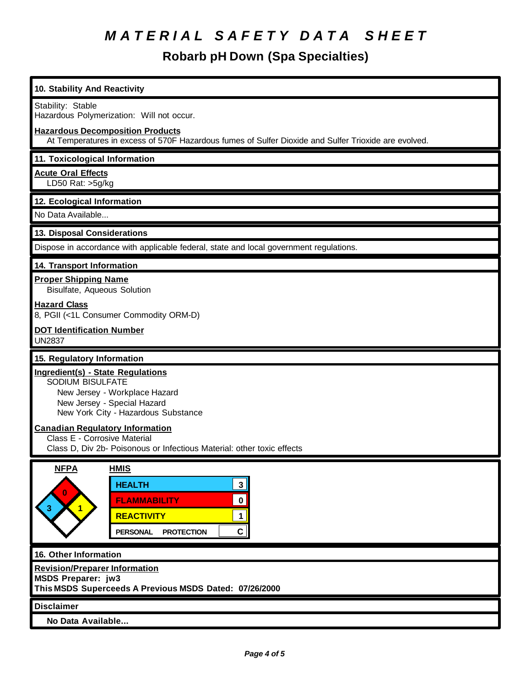**Robarb pH Down (Spa Specialties)**

| 10. Stability And Reactivity                                                                                                                                                                            |  |  |
|---------------------------------------------------------------------------------------------------------------------------------------------------------------------------------------------------------|--|--|
| Stability: Stable<br>Hazardous Polymerization: Will not occur.                                                                                                                                          |  |  |
| <b>Hazardous Decomposition Products</b><br>At Temperatures in excess of 570F Hazardous fumes of Sulfer Dioxide and Sulfer Trioxide are evolved.                                                         |  |  |
| 11. Toxicological Information                                                                                                                                                                           |  |  |
| <b>Acute Oral Effects</b><br>LD50 Rat: >5g/kg                                                                                                                                                           |  |  |
| 12. Ecological Information                                                                                                                                                                              |  |  |
| No Data Available                                                                                                                                                                                       |  |  |
| 13. Disposal Considerations                                                                                                                                                                             |  |  |
| Dispose in accordance with applicable federal, state and local government regulations.                                                                                                                  |  |  |
| 14. Transport Information                                                                                                                                                                               |  |  |
| <b>Proper Shipping Name</b><br>Bisulfate, Aqueous Solution                                                                                                                                              |  |  |
| <b>Hazard Class</b><br>8, PGII (<1L Consumer Commodity ORM-D)                                                                                                                                           |  |  |
| <b>DOT Identification Number</b><br><b>UN2837</b>                                                                                                                                                       |  |  |
| 15. Regulatory Information                                                                                                                                                                              |  |  |
| <b>Ingredient(s) - State Regulations</b><br>SODIUM BISULFATE<br>New Jersey - Workplace Hazard<br>New Jersey - Special Hazard<br>New York City - Hazardous Substance                                     |  |  |
| <b>Canadian Regulatory Information</b><br>Class E - Corrosive Material<br>Class D, Div 2b- Poisonous or Infectious Material: other toxic effects                                                        |  |  |
| <b>NFPA</b><br><b>HMIS</b><br>3 <br><b>HEALTH</b><br>$\bf{0}$<br>$\mathbf 0$<br><b>FLAMMABILITY</b><br>$\overline{1}$<br><b>REACTIVITY</b><br>$\mathbf{1}$<br>C<br><b>PERSONAL</b><br><b>PROTECTION</b> |  |  |
| 16. Other Information                                                                                                                                                                                   |  |  |
| <b>Revision/Preparer Information</b><br><b>MSDS Preparer: jw3</b><br>This MSDS Superceeds A Previous MSDS Dated: 07/26/2000                                                                             |  |  |
| <b>Disclaimer</b>                                                                                                                                                                                       |  |  |
| No Data Available                                                                                                                                                                                       |  |  |